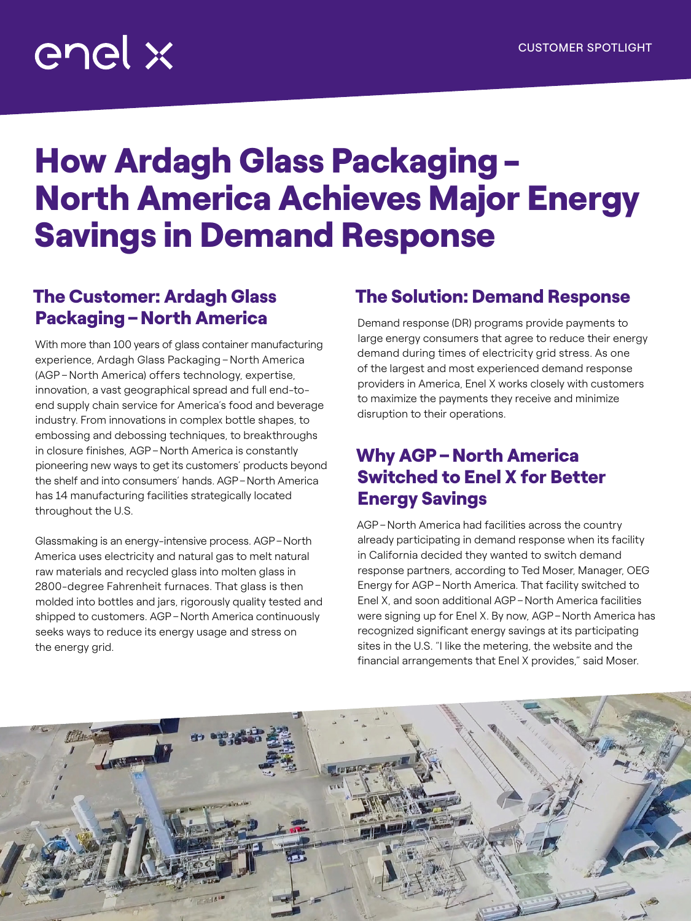# enel x

## How Ardagh Glass Packaging-North America Achieves Major Energy Savings in Demand Response

### The Customer: Ardagh Glass Packaging–North America

With more than 100 years of glass container manufacturing experience, Ardagh Glass Packaging–North America (AGP –North America) offers technology, expertise, innovation, a vast geographical spread and full end-toend supply chain service for America's food and beverage industry. From innovations in complex bottle shapes, to embossing and debossing techniques, to breakthroughs in closure finishes, AGP–North America is constantly pioneering new ways to get its customers' products beyond the shelf and into consumers' hands. AGP–North America has 14 manufacturing facilities strategically located throughout the U.S.

Glassmaking is an energy-intensive process. AGP–North America uses electricity and natural gas to melt natural raw materials and recycled glass into molten glass in 2800-degree Fahrenheit furnaces. That glass is then molded into bottles and jars, rigorously quality tested and shipped to customers. AGP–North America continuously seeks ways to reduce its energy usage and stress on the energy grid.

### The Solution: Demand Response

Demand response (DR) programs provide payments to large energy consumers that agree to reduce their energy demand during times of electricity grid stress. As one of the largest and most experienced demand response providers in America, Enel X works closely with customers to maximize the payments they receive and minimize disruption to their operations.

#### Why AGP–North America Switched to Enel X for Better Energy Savings

AGP–North America had facilities across the country already participating in demand response when its facility in California decided they wanted to switch demand response partners, according to Ted Moser, Manager, OEG Energy for AGP–North America. That facility switched to Enel X, and soon additional AGP–North America facilities were signing up for Enel X. By now, AGP–North America has recognized significant energy savings at its participating sites in the U.S. "I like the metering, the website and the financial arrangements that Enel X provides," said Moser.